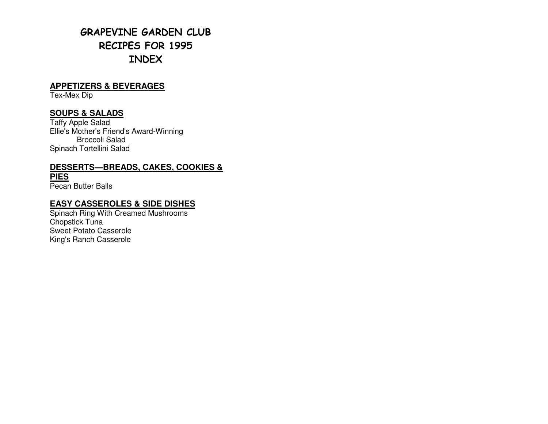# GRAPEVINE GARDEN CLUB RECIPES FOR 1995 INDEX

## **APPETIZERS & BEVERAGES**

Tex-Mex Dip

## **SOUPS & SALADS**

Taffy Apple Salad Ellie's Mother's Friend's Award-Winning Broccoli Salad Spinach Tortellini Salad

## **DESSERTS—BREADS, CAKES, COOKIES & PIES**

Pecan Butter Balls

# **EASY CASSEROLES & SIDE DISHES**

 Spinach Ring With Creamed Mushrooms Chopstick Tuna Sweet Potato Casserole King's Ranch Casserole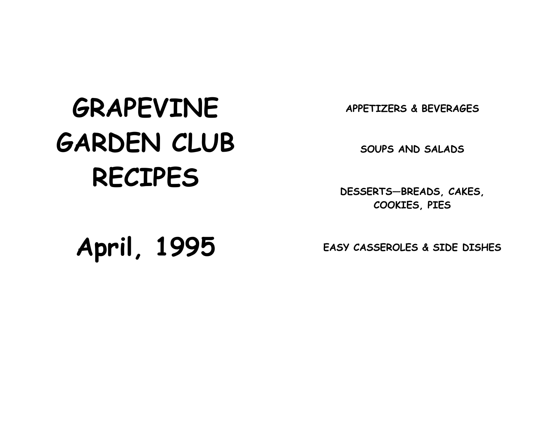# APPETIZERS & BEVERAGES

# GRAPEVINE GARDEN CLUB RECIPES

SOUPS AND SALADS

DESSERTS—BREADS, CAKES, COOKIES, PIES

April, 1995

EASY CASSEROLES & SIDE DISHES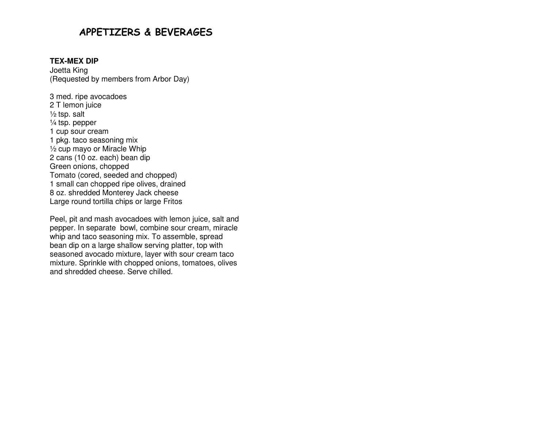# APPETIZERS & BEVERAGES

#### **TEX-MEX DIP**

Joetta King (Requested by members from Arbor Day)

3 med. ripe avocadoes 2 T lemon juice  $\frac{1}{2}$  tsp. salt ¼ tsp. pepper 1 cup sour cream 1 pkg. taco seasoning mix ½ cup mayo or Miracle Whip 2 cans (10 oz. each) bean dip Green onions, chopped Tomato (cored, seeded and chopped) 1 small can chopped ripe olives, drained 8 oz. shredded Monterey Jack cheese Large round tortilla chips or large Fritos

Peel, pit and mash avocadoes with lemon juice, salt and pepper. In separate bowl, combine sour cream, miracle whip and taco seasoning mix. To assemble, spread bean dip on a large shallow serving platter, top with seasoned avocado mixture, layer with sour cream taco mixture. Sprinkle with chopped onions, tomatoes, olives and shredded cheese. Serve chilled.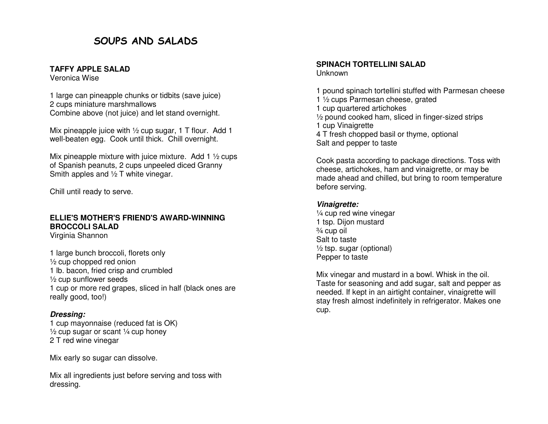# SOUPS AND SALADS

#### **TAFFY APPLE SALAD**

Veronica Wise

1 large can pineapple chunks or tidbits (save juice) 2 cups miniature marshmallows Combine above (not juice) and let stand overnight.

Mix pineapple juice with 1/2 cup sugar, 1 T flour. Add 1 well-beaten egg. Cook until thick. Chill overnight.

Mix pineapple mixture with juice mixture. Add 1 <sup>1</sup>/<sub>2</sub> cups of Spanish peanuts, 2 cups unpeeled diced Granny Smith apples and <sup>1</sup>/<sub>2</sub> T white vinegar.

Chill until ready to serve.

# **ELLIE'S MOTHER'S FRIEND'S AWARD-WINNING BROCCOLI SALAD**

Virginia Shannon

1 large bunch broccoli, florets only ½ cup chopped red onion 1 lb. bacon, fried crisp and crumbled ½ cup sunflower seeds 1 cup or more red grapes, sliced in half (black ones are really good, too!)

## **Dressing:**

 1 cup mayonnaise (reduced fat is OK)  $\frac{1}{2}$  cup sugar or scant  $\frac{1}{4}$  cup honey 2 T red wine vinegar

Mix early so sugar can dissolve.

Mix all ingredients just before serving and toss with dressing.

#### **SPINACH TORTELLINI SALAD** Unknown

1 pound spinach tortellini stuffed with Parmesan cheese 1 ½ cups Parmesan cheese, grated 1 cup quartered artichokes ½ pound cooked ham, sliced in finger-sized strips 1 cup Vinaigrette 4 T fresh chopped basil or thyme, optional Salt and pepper to taste

Cook pasta according to package directions. Toss with cheese, artichokes, ham and vinaigrette, or may be made ahead and chilled, but bring to room temperature before serving.

## **Vinaigrette:**

 ¼ cup red wine vinegar 1 tsp. Dijon mustard ¾ cup oil Salt to taste  $\frac{1}{2}$  tsp. sugar (optional) Pepper to taste

Mix vinegar and mustard in a bowl. Whisk in the oil. Taste for seasoning and add sugar, salt and pepper as needed. If kept in an airtight container, vinaigrette will stay fresh almost indefinitely in refrigerator. Makes one cup.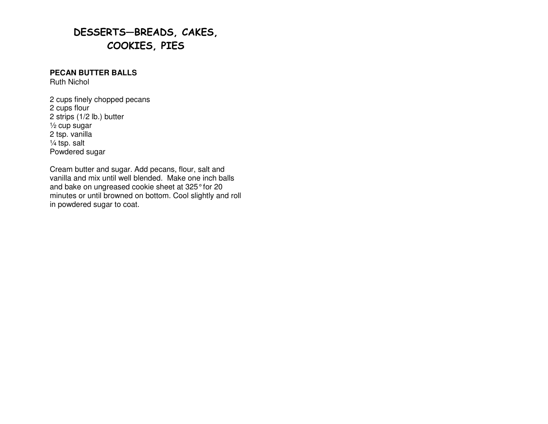# DESSERTS—BREADS, CAKES, COOKIES, PIES

## **PECAN BUTTER BALLS**

Ruth Nichol

2 cups finely chopped pecans 2 cups flour 2 strips (1/2 lb.) butter ½ cup sugar 2 tsp. vanilla  $\frac{1}{4}$  tsp. salt Powdered sugar

Cream butter and sugar. Add pecans, flour, salt and vanilla and mix until well blended. Make one inch balls and bake on ungreased cookie sheet at 325° for 20 minutes or until browned on bottom. Cool slightly and roll in powdered sugar to coat.